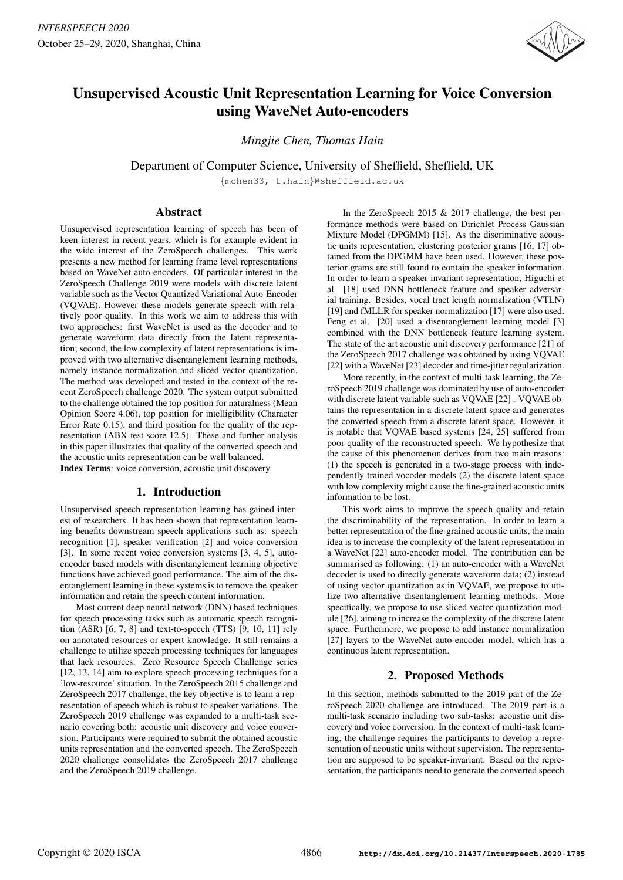

# Unsupervised Acoustic Unit Representation Learning for Voice Conversion using WaveNet Auto-encoders

*Mingjie Chen, Thomas Hain*

Department of Computer Science, University of Sheffield, Sheffield, UK

{mchen33, t.hain}@sheffield.ac.uk

## Abstract

Unsupervised representation learning of speech has been of keen interest in recent years, which is for example evident in the wide interest of the ZeroSpeech challenges. This work presents a new method for learning frame level representations based on WaveNet auto-encoders. Of particular interest in the ZeroSpeech Challenge 2019 were models with discrete latent variable such as the Vector Quantized Variational Auto-Encoder (VQVAE). However these models generate speech with relatively poor quality. In this work we aim to address this with two approaches: first WaveNet is used as the decoder and to generate waveform data directly from the latent representation; second, the low complexity of latent representations is improved with two alternative disentanglement learning methods, namely instance normalization and sliced vector quantization. The method was developed and tested in the context of the recent ZeroSpeech challenge 2020. The system output submitted to the challenge obtained the top position for naturalness (Mean Opinion Score 4.06), top position for intelligibility (Character Error Rate 0.15), and third position for the quality of the representation (ABX test score 12.5). These and further analysis in this paper illustrates that quality of the converted speech and the acoustic units representation can be well balanced. Index Terms: voice conversion, acoustic unit discovery

## 1. Introduction

Unsupervised speech representation learning has gained interest of researchers. It has been shown that representation learning benefits downstream speech applications such as: speech recognition [1], speaker verification [2] and voice conversion [3]. In some recent voice conversion systems [3, 4, 5], autoencoder based models with disentanglement learning objective functions have achieved good performance. The aim of the disentanglement learning in these systems is to remove the speaker information and retain the speech content information.

Most current deep neural network (DNN) based techniques for speech processing tasks such as automatic speech recognition (ASR) [6, 7, 8] and text-to-speech (TTS) [9, 10, 11] rely on annotated resources or expert knowledge. It still remains a challenge to utilize speech processing techniques for languages that lack resources. Zero Resource Speech Challenge series [12, 13, 14] aim to explore speech processing techniques for a 'low-resource' situation. In the ZeroSpeech 2015 challenge and ZeroSpeech 2017 challenge, the key objective is to learn a representation of speech which is robust to speaker variations. The ZeroSpeech 2019 challenge was expanded to a multi-task scenario covering both: acoustic unit discovery and voice conversion. Participants were required to submit the obtained acoustic units representation and the converted speech. The ZeroSpeech 2020 challenge consolidates the ZeroSpeech 2017 challenge and the ZeroSpeech 2019 challenge.

In the ZeroSpeech 2015 & 2017 challenge, the best performance methods were based on Dirichlet Process Gaussian Mixture Model (DPGMM) [15]. As the discriminative acoustic units representation, clustering posterior grams [16, 17] obtained from the DPGMM have been used. However, these posterior grams are still found to contain the speaker information. In order to learn a speaker-invariant representation, Higuchi et al. [18] used DNN bottleneck feature and speaker adversarial training. Besides, vocal tract length normalization (VTLN) [19] and fMLLR for speaker normalization [17] were also used. Feng et al. [20] used a disentanglement learning model [3] combined with the DNN bottleneck feature learning system. The state of the art acoustic unit discovery performance [21] of the ZeroSpeech 2017 challenge was obtained by using VQVAE [22] with a WaveNet [23] decoder and time-jitter regularization.

More recently, in the context of multi-task learning, the ZeroSpeech 2019 challenge was dominated by use of auto-encoder with discrete latent variable such as VQVAE [22] . VQVAE obtains the representation in a discrete latent space and generates the converted speech from a discrete latent space. However, it is notable that VQVAE based systems [24, 25] suffered from poor quality of the reconstructed speech. We hypothesize that the cause of this phenomenon derives from two main reasons: (1) the speech is generated in a two-stage process with independently trained vocoder models (2) the discrete latent space with low complexity might cause the fine-grained acoustic units information to be lost.

This work aims to improve the speech quality and retain the discriminability of the representation. In order to learn a better representation of the fine-grained acoustic units, the main idea is to increase the complexity of the latent representation in a WaveNet [22] auto-encoder model. The contribution can be summarised as following: (1) an auto-encoder with a WaveNet decoder is used to directly generate waveform data; (2) instead of using vector quantization as in VQVAE, we propose to utilize two alternative disentanglement learning methods. More specifically, we propose to use sliced vector quantization module [26], aiming to increase the complexity of the discrete latent space. Furthermore, we propose to add instance normalization [27] layers to the WaveNet auto-encoder model, which has a continuous latent representation.

## 2. Proposed Methods

In this section, methods submitted to the 2019 part of the ZeroSpeech 2020 challenge are introduced. The 2019 part is a multi-task scenario including two sub-tasks: acoustic unit discovery and voice conversion. In the context of multi-task learning, the challenge requires the participants to develop a representation of acoustic units without supervision. The representation are supposed to be speaker-invariant. Based on the representation, the participants need to generate the converted speech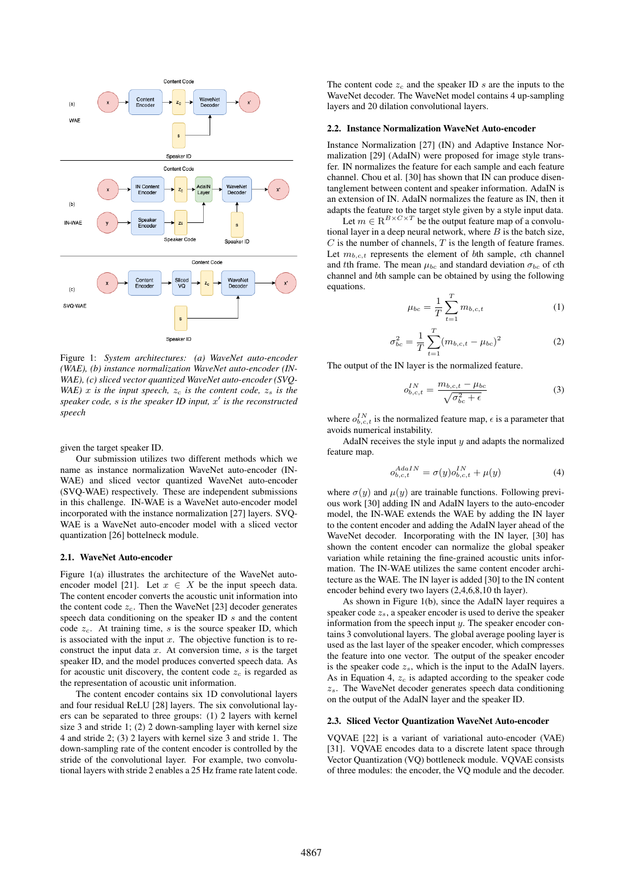

Figure 1: *System architectures: (a) WaveNet auto-encoder (WAE), (b) instance normalization WaveNet auto-encoder (IN-WAE), (c) sliced vector quantized WaveNet auto-encoder (SVQ-WAE)* x *is the input speech,*  $z_c$  *is the content code,*  $z_s$  *is the speaker code,* s *is the speaker ID input,* x 0 *is the reconstructed speech*

given the target speaker ID.

Our submission utilizes two different methods which we name as instance normalization WaveNet auto-encoder (IN-WAE) and sliced vector quantized WaveNet auto-encoder (SVQ-WAE) respectively. These are independent submissions in this challenge. IN-WAE is a WaveNet auto-encoder model incorporated with the instance normalization [27] layers. SVQ-WAE is a WaveNet auto-encoder model with a sliced vector quantization [26] bottelneck module.

#### 2.1. WaveNet Auto-encoder

Figure 1(a) illustrates the architecture of the WaveNet autoencoder model [21]. Let  $x \in X$  be the input speech data. The content encoder converts the acoustic unit information into the content code  $z_c$ . Then the WaveNet [23] decoder generates speech data conditioning on the speaker ID  $s$  and the content code  $z_c$ . At training time, s is the source speaker ID, which is associated with the input  $x$ . The objective function is to reconstruct the input data  $x$ . At conversion time,  $s$  is the target speaker ID, and the model produces converted speech data. As for acoustic unit discovery, the content code  $z_c$  is regarded as the representation of acoustic unit information.

The content encoder contains six 1D convolutional layers and four residual ReLU [28] layers. The six convolutional layers can be separated to three groups: (1) 2 layers with kernel size 3 and stride 1; (2) 2 down-sampling layer with kernel size 4 and stride 2; (3) 2 layers with kernel size 3 and stride 1. The down-sampling rate of the content encoder is controlled by the stride of the convolutional layer. For example, two convolutional layers with stride 2 enables a 25 Hz frame rate latent code. The content code  $z_c$  and the speaker ID s are the inputs to the WaveNet decoder. The WaveNet model contains 4 up-sampling layers and 20 dilation convolutional layers.

#### 2.2. Instance Normalization WaveNet Auto-encoder

Instance Normalization [27] (IN) and Adaptive Instance Normalization [29] (AdaIN) were proposed for image style transfer. IN normalizes the feature for each sample and each feature channel. Chou et al. [30] has shown that IN can produce disentanglement between content and speaker information. AdaIN is an extension of IN. AdaIN normalizes the feature as IN, then it adapts the feature to the target style given by a style input data.

Let  $m \in \mathbb{R}^{B \times C \times T}$  be the output feature map of a convolutional layer in a deep neural network, where  $B$  is the batch size,  $C$  is the number of channels,  $T$  is the length of feature frames. Let  $m_{b,c,t}$  represents the element of bth sample, cth channel and tth frame. The mean  $\mu_{bc}$  and standard deviation  $\sigma_{bc}$  of cth channel and bth sample can be obtained by using the following equations.

$$
\mu_{bc} = \frac{1}{T} \sum_{t=1}^{T} m_{b,c,t} \tag{1}
$$

$$
\sigma_{bc}^2 = \frac{1}{T} \sum_{t=1}^T (m_{b,c,t} - \mu_{bc})^2
$$
 (2)

The output of the IN layer is the normalized feature.

$$
o_{b,c,t}^{IN} = \frac{m_{b,c,t} - \mu_{bc}}{\sqrt{\sigma_{bc}^2 + \epsilon}}\tag{3}
$$

where  $o_{b,c,t}^{IN}$  is the normalized feature map,  $\epsilon$  is a parameter that avoids numerical instability.

AdaIN receives the style input  $y$  and adapts the normalized feature map.

$$
o_{b,c,t}^{AdaIN} = \sigma(y) o_{b,c,t}^{IN} + \mu(y)
$$
\n(4)

where  $\sigma(y)$  and  $\mu(y)$  are trainable functions. Following previous work [30] adding IN and AdaIN layers to the auto-encoder model, the IN-WAE extends the WAE by adding the IN layer to the content encoder and adding the AdaIN layer ahead of the WaveNet decoder. Incorporating with the IN layer, [30] has shown the content encoder can normalize the global speaker variation while retaining the fine-grained acoustic units information. The IN-WAE utilizes the same content encoder architecture as the WAE. The IN layer is added [30] to the IN content encoder behind every two layers (2,4,6,8,10 th layer).

As shown in Figure 1(b), since the AdaIN layer requires a speaker code  $z_s$ , a speaker encoder is used to derive the speaker information from the speech input  $y$ . The speaker encoder contains 3 convolutional layers. The global average pooling layer is used as the last layer of the speaker encoder, which compresses the feature into one vector. The output of the speaker encoder is the speaker code  $z_s$ , which is the input to the AdaIN layers. As in Equation 4,  $z_c$  is adapted according to the speaker code  $z_s$ . The WaveNet decoder generates speech data conditioning on the output of the AdaIN layer and the speaker ID.

#### 2.3. Sliced Vector Quantization WaveNet Auto-encoder

VQVAE [22] is a variant of variational auto-encoder (VAE) [31]. VQVAE encodes data to a discrete latent space through Vector Quantization (VQ) bottleneck module. VQVAE consists of three modules: the encoder, the VQ module and the decoder.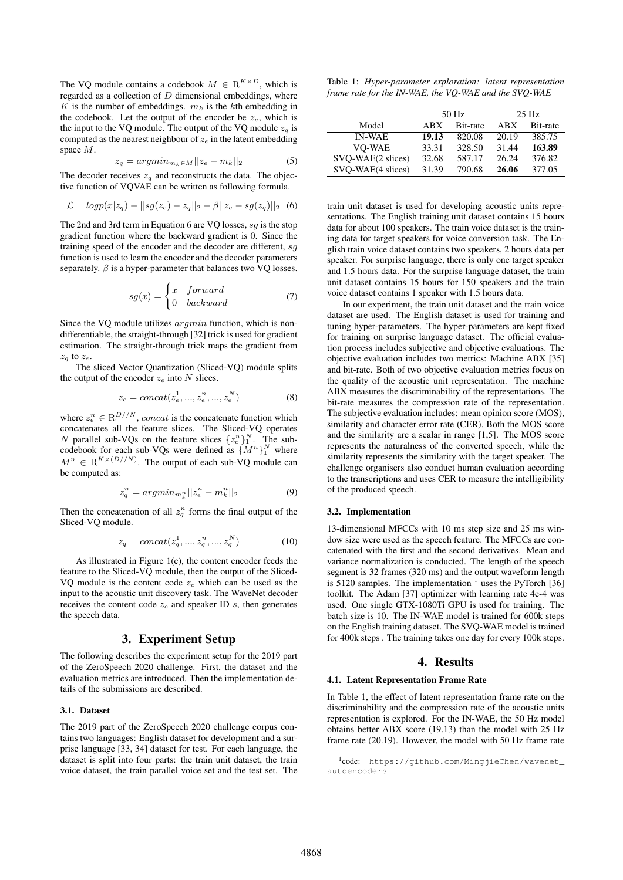The VQ module contains a codebook  $M \in \mathbb{R}^{K \times D}$ , which is regarded as a collection of  $D$  dimensional embeddings, where K is the number of embeddings.  $m_k$  is the kth embedding in the codebook. Let the output of the encoder be  $z_e$ , which is the input to the VQ module. The output of the VQ module  $z_q$  is computed as the nearest neighbour of  $z_e$  in the latent embedding space M.

$$
z_q = argmin_{m_k \in M} ||z_e - m_k||_2 \tag{5}
$$

The decoder receives  $z_a$  and reconstructs the data. The objective function of VQVAE can be written as following formula.

$$
\mathcal{L} = logp(x|z_q) - ||sg(z_e) - z_q||_2 - \beta ||z_e - sg(z_q)||_2 \quad (6)
$$

The 2nd and 3rd term in Equation 6 are VQ losses, sg is the stop gradient function where the backward gradient is 0. Since the training speed of the encoder and the decoder are different,  $sq$ function is used to learn the encoder and the decoder parameters separately.  $\beta$  is a hyper-parameter that balances two VQ losses.

$$
sg(x) = \begin{cases} x & forward \\ 0 & backward \end{cases}
$$
 (7)

Since the VQ module utilizes argmin function, which is nondifferentiable, the straight-through [32] trick is used for gradient estimation. The straight-through trick maps the gradient from  $z_q$  to  $z_e$ .

The sliced Vector Quantization (Sliced-VQ) module splits the output of the encoder  $z_e$  into N slices.

$$
z_e = concat(z_e^1, ..., z_e^n, ..., z_e^N)
$$
 (8)

where  $z_e^n \in \mathbb{R}^{D//N}$ , concat is the concatenate function which concatenates all the feature slices. The Sliced-VQ operates N parallel sub-VQs on the feature slices  $\{z_e^{\{n\}}\}$ . The subcodebook for each sub-VQs were defined as  $\{M^n\}^N_1$  where  $M^n \in \mathbb{R}^{K \times (D//N)}$ . The output of each sub-VQ module can be computed as:

$$
z_q^n = \operatorname{argmin}_{m_k^n} ||z_e^n - m_k^n||_2 \tag{9}
$$

Then the concatenation of all  $z_q^n$  forms the final output of the Sliced-VQ module.

$$
z_q = concat(z_q^1, ..., z_q^n, ..., z_q^N)
$$
 (10)

As illustrated in Figure 1(c), the content encoder feeds the feature to the Sliced-VQ module, then the output of the Sliced-VQ module is the content code  $z_c$  which can be used as the input to the acoustic unit discovery task. The WaveNet decoder receives the content code  $z_c$  and speaker ID s, then generates the speech data.

## 3. Experiment Setup

The following describes the experiment setup for the 2019 part of the ZeroSpeech 2020 challenge. First, the dataset and the evaluation metrics are introduced. Then the implementation details of the submissions are described.

## 3.1. Dataset

The 2019 part of the ZeroSpeech 2020 challenge corpus contains two languages: English dataset for development and a surprise language [33, 34] dataset for test. For each language, the dataset is split into four parts: the train unit dataset, the train voice dataset, the train parallel voice set and the test set. The

Table 1: *Hyper-parameter exploration: latent representation frame rate for the IN-WAE, the VQ-WAE and the SVQ-WAE*

|                   | 50 Hz |          | $25$ Hz |          |
|-------------------|-------|----------|---------|----------|
|                   |       |          |         |          |
| Model             | ABX   | Bit-rate | ABX     | Bit-rate |
| <b>IN-WAE</b>     | 19.13 | 820.08   | 20.19   | 385.75   |
| <b>VO-WAE</b>     | 33.31 | 328.50   | 31.44   | 163.89   |
| SVO-WAE(2 slices) | 32.68 | 587.17   | 26.24   | 376.82   |
| SVO-WAE(4 slices) | 31.39 | 790.68   | 26.06   | 377.05   |

train unit dataset is used for developing acoustic units representations. The English training unit dataset contains 15 hours data for about 100 speakers. The train voice dataset is the training data for target speakers for voice conversion task. The English train voice dataset contains two speakers, 2 hours data per speaker. For surprise language, there is only one target speaker and 1.5 hours data. For the surprise language dataset, the train unit dataset contains 15 hours for 150 speakers and the train voice dataset contains 1 speaker with 1.5 hours data.

In our experiment, the train unit dataset and the train voice dataset are used. The English dataset is used for training and tuning hyper-parameters. The hyper-parameters are kept fixed for training on surprise language dataset. The official evaluation process includes subjective and objective evaluations. The objective evaluation includes two metrics: Machine ABX [35] and bit-rate. Both of two objective evaluation metrics focus on the quality of the acoustic unit representation. The machine ABX measures the discriminability of the representations. The bit-rate measures the compression rate of the representation. The subjective evaluation includes: mean opinion score (MOS), similarity and character error rate (CER). Both the MOS score and the similarity are a scalar in range [1,5]. The MOS score represents the naturalness of the converted speech, while the similarity represents the similarity with the target speaker. The challenge organisers also conduct human evaluation according to the transcriptions and uses CER to measure the intelligibility of the produced speech.

#### 3.2. Implementation

13-dimensional MFCCs with 10 ms step size and 25 ms window size were used as the speech feature. The MFCCs are concatenated with the first and the second derivatives. Mean and variance normalization is conducted. The length of the speech segment is 32 frames (320 ms) and the output waveform length is 5120 samples. The implementation  $1$  uses the PyTorch [36] toolkit. The Adam [37] optimizer with learning rate 4e-4 was used. One single GTX-1080Ti GPU is used for training. The batch size is 10. The IN-WAE model is trained for 600k steps on the English training dataset. The SVQ-WAE model is trained for 400k steps . The training takes one day for every 100k steps.

## 4. Results

#### 4.1. Latent Representation Frame Rate

In Table 1, the effect of latent representation frame rate on the discriminability and the compression rate of the acoustic units representation is explored. For the IN-WAE, the 50 Hz model obtains better ABX score (19.13) than the model with 25 Hz frame rate (20.19). However, the model with 50 Hz frame rate

<sup>1</sup> code: https://github.com/MingjieChen/wavenet\_ autoencoders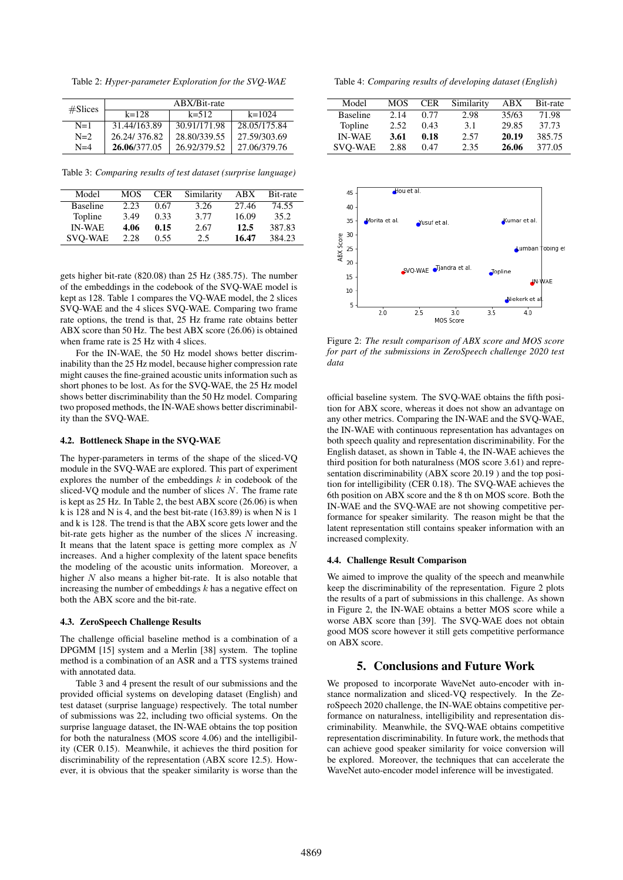Table 2: *Hyper-parameter Exploration for the SVQ-WAE*

| #Slices | ABX/Bit-rate |              |              |  |  |
|---------|--------------|--------------|--------------|--|--|
|         | $k = 128$    | $k = 512$    | $k=1024$     |  |  |
| $N=1$   | 31.44/163.89 | 30.91/171.98 | 28.05/175.84 |  |  |
| $N=2$   | 26.24/376.82 | 28.80/339.55 | 27.59/303.69 |  |  |
| $N=4$   | 26.06/377.05 | 26.92/379.52 | 27.06/379.76 |  |  |

Table 3: *Comparing results of test dataset (surprise language)*

| Model           | MOS  | CER  | Similarity | ABX   | Bit-rate |
|-----------------|------|------|------------|-------|----------|
| <b>Baseline</b> | 2.23 | 0.67 | 3.26       | 27.46 | 74.55    |
| Topline         | 3.49 | 0.33 | 3.77       | 16.09 | 35.2     |
| <b>IN-WAE</b>   | 4.06 | 0.15 | 2.67       | 12.5  | 387.83   |
| <b>SVO-WAE</b>  | 2.28 | 0.55 | 2.5        | 16.47 | 384.23   |

gets higher bit-rate (820.08) than 25 Hz (385.75). The number of the embeddings in the codebook of the SVQ-WAE model is kept as 128. Table 1 compares the VQ-WAE model, the 2 slices SVQ-WAE and the 4 slices SVQ-WAE. Comparing two frame rate options, the trend is that, 25 Hz frame rate obtains better ABX score than 50 Hz. The best ABX score (26.06) is obtained when frame rate is 25 Hz with 4 slices.

For the IN-WAE, the 50 Hz model shows better discriminability than the 25 Hz model, because higher compression rate might causes the fine-grained acoustic units information such as short phones to be lost. As for the SVQ-WAE, the 25 Hz model shows better discriminability than the 50 Hz model. Comparing two proposed methods, the IN-WAE shows better discriminability than the SVQ-WAE.

## 4.2. Bottleneck Shape in the SVQ-WAE

The hyper-parameters in terms of the shape of the sliced-VQ module in the SVQ-WAE are explored. This part of experiment explores the number of the embeddings  $k$  in codebook of the sliced-VQ module and the number of slices N. The frame rate is kept as 25 Hz. In Table 2, the best ABX score (26.06) is when k is 128 and N is 4, and the best bit-rate (163.89) is when N is 1 and k is 128. The trend is that the ABX score gets lower and the bit-rate gets higher as the number of the slices  $N$  increasing. It means that the latent space is getting more complex as  $N$ increases. And a higher complexity of the latent space benefits the modeling of the acoustic units information. Moreover, a higher  $N$  also means a higher bit-rate. It is also notable that increasing the number of embeddings  $k$  has a negative effect on both the ABX score and the bit-rate.

## 4.3. ZeroSpeech Challenge Results

The challenge official baseline method is a combination of a DPGMM [15] system and a Merlin [38] system. The topline method is a combination of an ASR and a TTS systems trained with annotated data.

Table 3 and 4 present the result of our submissions and the provided official systems on developing dataset (English) and test dataset (surprise language) respectively. The total number of submissions was 22, including two official systems. On the surprise language dataset, the IN-WAE obtains the top position for both the naturalness (MOS score 4.06) and the intelligibility (CER 0.15). Meanwhile, it achieves the third position for discriminability of the representation (ABX score 12.5). However, it is obvious that the speaker similarity is worse than the

Table 4: *Comparing results of developing dataset (English)*

| Model           | MOS  | CER  | Similarity | ABX   | Bit-rate |
|-----------------|------|------|------------|-------|----------|
| <b>Baseline</b> | 2.14 | 0.77 | 2.98       | 35/63 | 71.98    |
| Topline         | 2.52 | 0.43 | 3.1        | 29.85 | 37.73    |
| <b>IN-WAE</b>   | 3.61 | 0.18 | 2.57       | 20.19 | 385.75   |
| <b>SVO-WAE</b>  | 2.88 | 0.47 | 2.35       | 26.06 | 377.05   |



Figure 2: *The result comparison of ABX score and MOS score for part of the submissions in ZeroSpeech challenge 2020 test data*

official baseline system. The SVQ-WAE obtains the fifth position for ABX score, whereas it does not show an advantage on any other metrics. Comparing the IN-WAE and the SVQ-WAE, the IN-WAE with continuous representation has advantages on both speech quality and representation discriminability. For the English dataset, as shown in Table 4, the IN-WAE achieves the third position for both naturalness (MOS score 3.61) and representation discriminability (ABX score 20.19 ) and the top position for intelligibility (CER 0.18). The SVQ-WAE achieves the 6th position on ABX score and the 8 th on MOS score. Both the IN-WAE and the SVQ-WAE are not showing competitive performance for speaker similarity. The reason might be that the latent representation still contains speaker information with an increased complexity.

#### 4.4. Challenge Result Comparison

We aimed to improve the quality of the speech and meanwhile keep the discriminability of the representation. Figure 2 plots the results of a part of submissions in this challenge. As shown in Figure 2, the IN-WAE obtains a better MOS score while a worse ABX score than [39]. The SVQ-WAE does not obtain good MOS score however it still gets competitive performance on ABX score.

## 5. Conclusions and Future Work

We proposed to incorporate WaveNet auto-encoder with instance normalization and sliced-VQ respectively. In the ZeroSpeech 2020 challenge, the IN-WAE obtains competitive performance on naturalness, intelligibility and representation discriminability. Meanwhile, the SVQ-WAE obtains competitive representation discriminability. In future work, the methods that can achieve good speaker similarity for voice conversion will be explored. Moreover, the techniques that can accelerate the WaveNet auto-encoder model inference will be investigated.